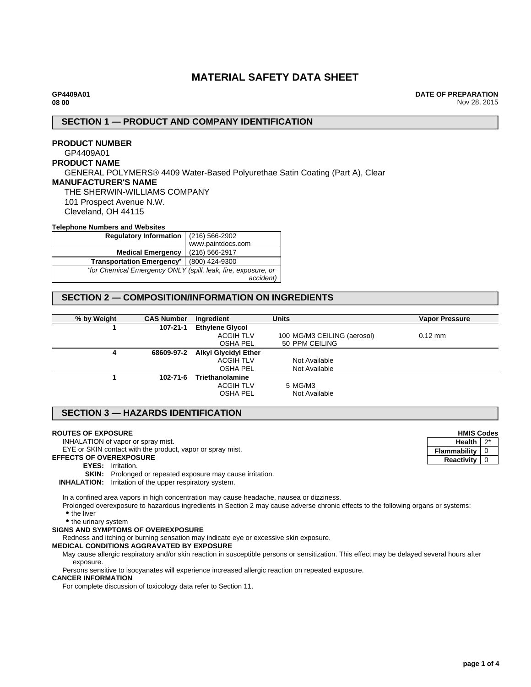# **MATERIAL SAFETY DATA SHEET**

**DATE OF PREPARATION** Nov 28, 2015

### **SECTION 1 — PRODUCT AND COMPANY IDENTIFICATION**

# **PRODUCT NUMBER**

# GP4409A01

# **PRODUCT NAME**

GENERAL POLYMERS® 4409 Water-Based Polyurethae Satin Coating (Part A), Clear

### **MANUFACTURER'S NAME**

THE SHERWIN-WILLIAMS COMPANY 101 Prospect Avenue N.W. Cleveland, OH 44115

#### **Telephone Numbers and Websites**

| (216) 566-2902<br><b>Regulatory Information</b>               |                   |
|---------------------------------------------------------------|-------------------|
|                                                               | www.paintdocs.com |
| <b>Medical Emergency</b>                                      | (216) 566-2917    |
| <b>Transportation Emergency*</b>                              | (800) 424-9300    |
| *for Chemical Emergency ONLY (spill, leak, fire, exposure, or |                   |
|                                                               | accident)         |

# **SECTION 2 — COMPOSITION/INFORMATION ON INGREDIENTS**

| % by Weight | <b>CAS Number</b> | Ingredient                  | <b>Units</b>                | <b>Vapor Pressure</b> |
|-------------|-------------------|-----------------------------|-----------------------------|-----------------------|
|             | 107-21-1          | <b>Ethylene Glycol</b>      |                             |                       |
|             |                   | <b>ACGIH TLV</b>            | 100 MG/M3 CEILING (aerosol) | $0.12$ mm             |
|             |                   | <b>OSHA PEL</b>             | 50 PPM CEILING              |                       |
| 4           | 68609-97-2        | <b>Alkyl Glycidyl Ether</b> |                             |                       |
|             |                   | <b>ACGIH TLV</b>            | Not Available               |                       |
|             |                   | <b>OSHA PEL</b>             | Not Available               |                       |
|             | $102 - 71 - 6$    | <b>Triethanolamine</b>      |                             |                       |
|             |                   | <b>ACGIH TLV</b>            | 5 MG/M3                     |                       |
|             |                   | <b>OSHA PEL</b>             | Not Available               |                       |

## **SECTION 3 — HAZARDS IDENTIFICATION**

#### **ROUTES OF EXPOSURE**

INHALATION of vapor or spray mist.

EYE or SKIN contact with the product, vapor or spray mist.

**EFFECTS OF OVEREXPOSURE**

- **EYES:** Irritation.
- **SKIN:** Prolonged or repeated exposure may cause irritation.

**INHALATION:** Irritation of the upper respiratory system.

In a confined area vapors in high concentration may cause headache, nausea or dizziness.

Prolonged overexposure to hazardous ingredients in Section 2 may cause adverse chronic effects to the following organs or systems:

• the liver

• the urinary system

#### **SIGNS AND SYMPTOMS OF OVEREXPOSURE**

Redness and itching or burning sensation may indicate eye or excessive skin exposure.

#### **MEDICAL CONDITIONS AGGRAVATED BY EXPOSURE**

May cause allergic respiratory and/or skin reaction in susceptible persons or sensitization. This effect may be delayed several hours after exposure.

Persons sensitive to isocyanates will experience increased allergic reaction on repeated exposure.

#### **CANCER INFORMATION**

For complete discussion of toxicology data refer to Section 11.

**HMIS Codes Health** 2\* **Flammability**  $\begin{bmatrix} 0 \end{bmatrix}$ **Reactivity** 0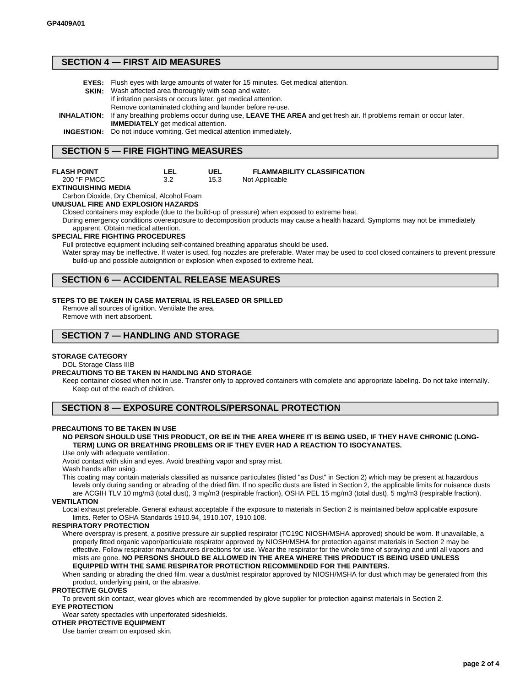### **SECTION 4 — FIRST AID MEASURES**

| <b>EYES:</b> Flush eyes with large amounts of water for 15 minutes. Get medical attention.                                          |
|-------------------------------------------------------------------------------------------------------------------------------------|
| <b>SKIN:</b> Wash affected area thoroughly with soap and water.                                                                     |
| If irritation persists or occurs later, get medical attention.                                                                      |
| Remove contaminated clothing and launder before re-use.                                                                             |
| <b>INHALATION:</b> If any breathing problems occur during use, LEAVE THE AREA and get fresh air. If problems remain or occur later, |
| <b>IMMEDIATELY</b> get medical attention.                                                                                           |
| <b>INGESTION:</b> Do not induce vomiting. Get medical attention immediately.                                                        |
|                                                                                                                                     |

### **SECTION 5 — FIRE FIGHTING MEASURES**

**LEL** 3.2

| FLASH POINT |
|-------------|
| 200. E DMCC |

| ZUU FFIVILL         |  |
|---------------------|--|
| EXTINGUISHING MEDIA |  |

Carbon Dioxide, Dry Chemical, Alcohol Foam

#### **UNUSUAL FIRE AND EXPLOSION HAZARDS**

Closed containers may explode (due to the build-up of pressure) when exposed to extreme heat.

**UEL** 15.3

During emergency conditions overexposure to decomposition products may cause a health hazard. Symptoms may not be immediately apparent. Obtain medical attention.

Not Applicable

#### **SPECIAL FIRE FIGHTING PROCEDURES**

Full protective equipment including self-contained breathing apparatus should be used.

Water spray may be ineffective. If water is used, fog nozzles are preferable. Water may be used to cool closed containers to prevent pressure build-up and possible autoignition or explosion when exposed to extreme heat.

**FLAMMABILITY CLASSIFICATION**

### **SECTION 6 — ACCIDENTAL RELEASE MEASURES**

#### **STEPS TO BE TAKEN IN CASE MATERIAL IS RELEASED OR SPILLED**

Remove all sources of ignition. Ventilate the area.

Remove with inert absorbent.

### **SECTION 7 — HANDLING AND STORAGE**

#### **STORAGE CATEGORY**

DOL Storage Class IIIB

#### **PRECAUTIONS TO BE TAKEN IN HANDLING AND STORAGE**

Keep container closed when not in use. Transfer only to approved containers with complete and appropriate labeling. Do not take internally. Keep out of the reach of children.

### **SECTION 8 — EXPOSURE CONTROLS/PERSONAL PROTECTION**

#### **PRECAUTIONS TO BE TAKEN IN USE**

#### **NO PERSON SHOULD USE THIS PRODUCT, OR BE IN THE AREA WHERE IT IS BEING USED, IF THEY HAVE CHRONIC (LONG-TERM) LUNG OR BREATHING PROBLEMS OR IF THEY EVER HAD A REACTION TO ISOCYANATES.**

#### Use only with adequate ventilation.

Avoid contact with skin and eyes. Avoid breathing vapor and spray mist.

Wash hands after using.

This coating may contain materials classified as nuisance particulates (listed "as Dust" in Section 2) which may be present at hazardous levels only during sanding or abrading of the dried film. If no specific dusts are listed in Section 2, the applicable limits for nuisance dusts are ACGIH TLV 10 mg/m3 (total dust), 3 mg/m3 (respirable fraction), OSHA PEL 15 mg/m3 (total dust), 5 mg/m3 (respirable fraction).

**VENTILATION**

Local exhaust preferable. General exhaust acceptable if the exposure to materials in Section 2 is maintained below applicable exposure limits. Refer to OSHA Standards 1910.94, 1910.107, 1910.108.

#### **RESPIRATORY PROTECTION**

Where overspray is present, a positive pressure air supplied respirator (TC19C NIOSH/MSHA approved) should be worn. If unavailable, a properly fitted organic vapor/particulate respirator approved by NIOSH/MSHA for protection against materials in Section 2 may be effective. Follow respirator manufacturers directions for use. Wear the respirator for the whole time of spraying and until all vapors and mists are gone. **NO PERSONS SHOULD BE ALLOWED IN THE AREA WHERE THIS PRODUCT IS BEING USED UNLESS EQUIPPED WITH THE SAME RESPIRATOR PROTECTION RECOMMENDED FOR THE PAINTERS.**

When sanding or abrading the dried film, wear a dust/mist respirator approved by NIOSH/MSHA for dust which may be generated from this product, underlying paint, or the abrasive.

#### **PROTECTIVE GLOVES**

To prevent skin contact, wear gloves which are recommended by glove supplier for protection against materials in Section 2. **EYE PROTECTION**

#### Wear safety spectacles with unperforated sideshields. **OTHER PROTECTIVE EQUIPMENT**

Use barrier cream on exposed skin.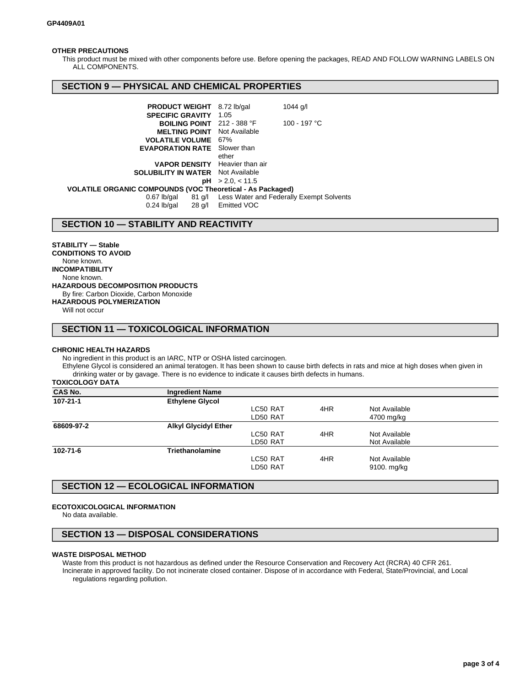#### **OTHER PRECAUTIONS**

This product must be mixed with other components before use. Before opening the packages, READ AND FOLLOW WARNING LABELS ON ALL COMPONENTS.

### **SECTION 9 — PHYSICAL AND CHEMICAL PROPERTIES**

| <b>PRODUCT WEIGHT</b>                                      | $1044$ g/l<br>8.72 lb/gal                                             |  |  |
|------------------------------------------------------------|-----------------------------------------------------------------------|--|--|
| <b>SPECIFIC GRAVITY</b>                                    | 1.05                                                                  |  |  |
| <b>BOILING POINT</b> 212 - 388 °F                          | 100 - 197 °C                                                          |  |  |
| <b>MELTING POINT</b>                                       | Not Available                                                         |  |  |
| <b>VOLATILE VOLUME 67%</b>                                 |                                                                       |  |  |
| <b>EVAPORATION RATE</b> Slower than                        |                                                                       |  |  |
|                                                            | ether                                                                 |  |  |
| <b>VAPOR DENSITY</b> Heavier than air                      |                                                                       |  |  |
| <b>SOLUBILITY IN WATER</b> Not Available                   |                                                                       |  |  |
| рH                                                         | > 2.0, < 11.5                                                         |  |  |
| VOLATILE ORGANIC COMPOUNDS (VOC Theoretical - As Packaged) |                                                                       |  |  |
| $0.67$ lb/gal<br>$0.24$ lb/gal                             | 81 g/l Less Water and Federally Exempt Solvents<br>28 g/l Emitted VOC |  |  |

### **SECTION 10 — STABILITY AND REACTIVITY**

#### **STABILITY — Stable**

**CONDITIONS TO AVOID** None known. **INCOMPATIBILITY** None known. **HAZARDOUS DECOMPOSITION PRODUCTS** By fire: Carbon Dioxide, Carbon Monoxide **HAZARDOUS POLYMERIZATION**

Will not occur

### **SECTION 11 — TOXICOLOGICAL INFORMATION**

#### **CHRONIC HEALTH HAZARDS**

No ingredient in this product is an IARC, NTP or OSHA listed carcinogen.

Ethylene Glycol is considered an animal teratogen. It has been shown to cause birth defects in rats and mice at high doses when given in drinking water or by gavage. There is no evidence to indicate it causes birth defects in humans.

**TOXICOLOGY DATA**

| <b>CAS No.</b> | <b>Ingredient Name</b>      |          |     |               |  |
|----------------|-----------------------------|----------|-----|---------------|--|
| 107-21-1       | <b>Ethylene Glycol</b>      |          |     |               |  |
|                |                             | LC50 RAT | 4HR | Not Available |  |
|                |                             | LD50 RAT |     | 4700 mg/kg    |  |
| 68609-97-2     | <b>Alkyl Glycidyl Ether</b> |          |     |               |  |
|                |                             | LC50 RAT | 4HR | Not Available |  |
|                |                             | LD50 RAT |     | Not Available |  |
| 102-71-6       | <b>Triethanolamine</b>      |          |     |               |  |
|                |                             | LC50 RAT | 4HR | Not Available |  |
|                |                             | LD50 RAT |     | 9100. mg/kg   |  |
|                |                             |          |     |               |  |

### **SECTION 12 — ECOLOGICAL INFORMATION**

#### **ECOTOXICOLOGICAL INFORMATION**

No data available.

### **SECTION 13 — DISPOSAL CONSIDERATIONS**

#### **WASTE DISPOSAL METHOD**

Waste from this product is not hazardous as defined under the Resource Conservation and Recovery Act (RCRA) 40 CFR 261. Incinerate in approved facility. Do not incinerate closed container. Dispose of in accordance with Federal, State/Provincial, and Local regulations regarding pollution.